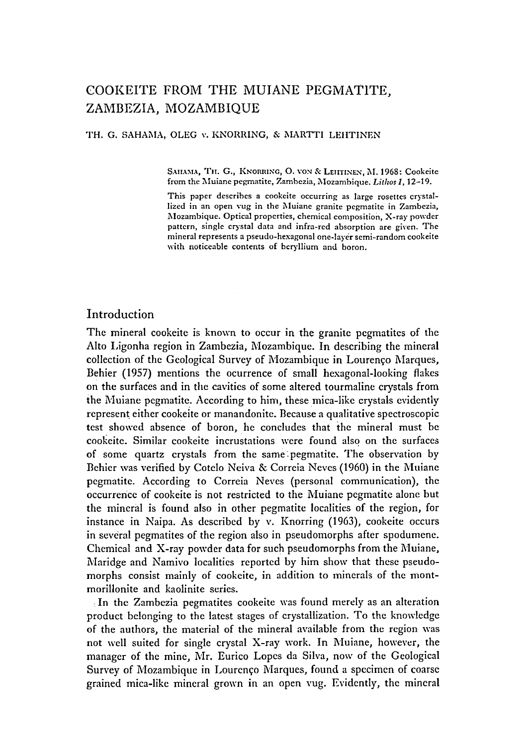# COOKEITE FROM THE MUIANE PEGMAT1TE, ZAMBEZIA, MOZAMBIQUE

TH. G. SAHAMA, OLEG v. KNORRING, & MARTTI LEHTINEN

SAHAMA, TH. G., KNORRING, O. VON & LEITINEN, M. 1968: Cookeite from the Muiane pegmatite, Zambezia, Mozambique. *Lithos* 1, 12-I9.

This paper describes a cookeite occurring as large rosettes crystallized in an open rug in the Muiane granite pegmatite in Zambezia, ~Iozambique. Optical properties, chemical composition, X-ray powder pattern, single crystal data and infra-red absorption are given. The mineral represents a pseudo-hexagonal one-layer semi-random cookelte with noticeable contents of beryllium and boron.

# Introduction

The mineral cookeite is known to occur in the granite pegmatites of the Alto Ligonha region in Zambezia, Mozambique. In describing the mineral collection of the Geological Survey of Mozambique in Lourenço Marques, Behier (1957) mentions the ocurrence of small hexagonal-looking flakes on the surfaces and in the cavities of some altered tourmaline crystals from the Muiane pegmatite. According to him, these mica-like crystals evidently represent either cookeite or manandonite. Because a qualitative spectroscopic test showed absence of boron, he concludes that the mineral must be cookeite. Similar cookeite incrustations were found also on the surfaces of some quartz crystals from the same:pegmatite. The observation by Behier was verified by Cotelo Neiva & Correia Neves (1960) in the Muiane pegmatite. According to Correia Neves (personal communication), the occurrence of cookeite is not restricted to the Muiane pegmatite alone but the mineral is found also in other pegmatite localities of the region, for instance in Naipa. As described by v. Knorring (1963), cookeite occurs in several pegmatites of the region also in pseudomorphs after spodumene. Chemical and X-ray powder data for such pseudomorphs from the Muiane, Maridge and Namivo localities reported by him show that these pseudomorphs consist mainly of cookeite, in addition to minerals of the montmorillonite and kaolinite series.

In the Zambezia pegmatites cookeite was found merely as an alteration product belonging to the latest stages of crystallization. To the knowledge of the authors, the material of the mineral available from the region was not well suited for single crystal X-ray work. In Muiane, however, the manager of the mine, Mr. Eurico Lopes da Silva, now of the Geological Survey of Mozambique in Lourenço Marques, found a specimen of coarse grained mica-like mineral grown in an open rug. Evidently, the mineral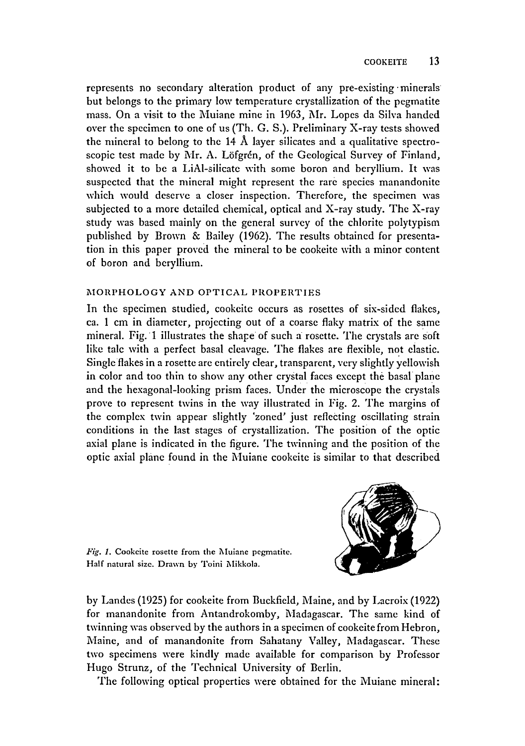represents no secondary alteration product of any pre-existing minerals but belongs to the primary low temperature crystallization of the pegmatite mass. On a visit to the Muiane mine in 1963, Mr. Lopes da Silva handed over the specimen to one of us (Th. G. S.). Preliminary X-ray tests showed the mineral to belong to the 14 Å layer silicates and a qualitative spectroscopic test made by Mr. A. Löfgrén, of the Geological Survey of Finland, showed it to be a LiAl-silicate with some boron and beryllium. It was suspected that the mineral might represent the rare species manandonite which would deserve a closer inspection. Therefore, the specimen was subjected to a more detailed chemical, optical and  $X$ -ray study. The  $X$ -ray study was based mainly on the general survey of the chlorite polytypism published by Brown & Bailey (1962). The results obtained for presentation in this paper proved the mineral to be cookeite with a minor content of boron and beryllium.

## MORPHOLOGY AND OPTICAL PROPERTIES

In the specimen studied, cookcite occurs as rosettes of six-sided flakes, ca. 1 cm in diameter, projecting out of a coarse flaky matrix of the same mineral. Fig. 1 illustrates the shape of such a rosette. The crystals are soft like talc with a perfect basal cleavage. The flakes are flexible, not elastic. Single flakes in a rosette arc entirely clear, transparent, very slightly yellowish in color and too thin to show any other crystal faces except the basal plane and the hexagonal-looking prism faces. Under the microscope the crystals prove to represent twins in the way illustrated in Fig. 2. The margins of the complex twin appear slightly 'zoned' just reflecting oscillating strain conditions in the last stages of crystallization. The position of the optic axial plane is indicated in the figure. The twinning and the position of the optic axial plane found in the Muiane cookeite is similar to that described



Fig. 1. Cookeite rosette from the Muiane pegmatite. Half natural size. Drawn by Toini Mikkola.

by Landes (1925) for cookeite from Buckfield, Maine, and by Lacroix (1922) for manandonite from Antandrokomby, Madagascar. The same kind of twinning was observed by the authors in a specimen of cookeite from Hebron, Maine, and of manandonite from Sahatany Valley, Madagascar. These two specimens were kindly made available for comparison by Professor Hugo Strunz, of the Technical University of Berlin.

The following optical properties were obtained for the Muiane mineral: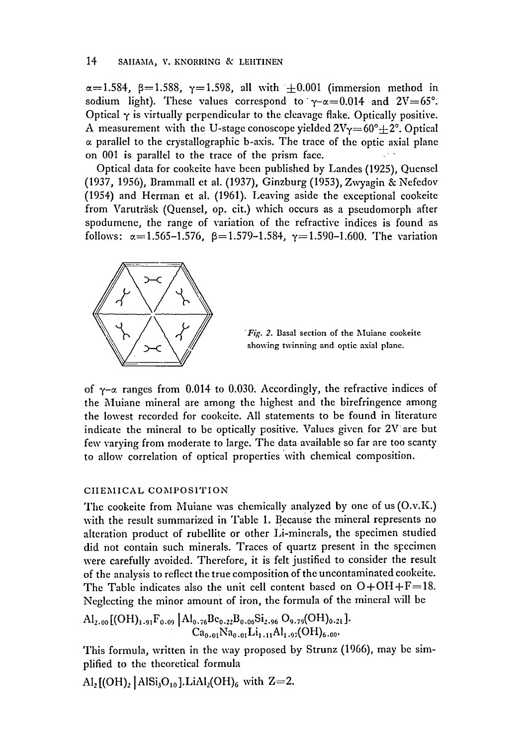#### 14 SAHAMA, V. KNORRING & LEHTINEN

 $\alpha=1.584$ ,  $\beta=1.588$ ,  $\gamma=1.598$ , all with  $\pm 0.001$  (immersion method in sodium light). These values correspond to  $\gamma-\alpha=0.014$  and  $2V=65^\circ$ . Optical  $\gamma$  is virtually perpendicular to the cleavage flake. Optically positive. A measurement with the U-stage conoscope yielded  $2V_{\gamma}=60^{\circ}+2^{\circ}$ . Optical  $\alpha$  parallel to the crystallographic b-axis. The trace of the optic axial plane on 001 is parallel to the trace of the prism face.

Optical data for cookeite have been published by Landes (1925), Quensel (1937, 1956), Brammall et al. (1937), Ginzburg (1953), Zwyagin & Nefedov (1954) and Herman et al. (1961). Leaving aside the exceptional cookeite from Varuträsk (Quensel, op. cit.) which occurs as a pseudomorph after spodumene, the range of variation of the refractive indices is found as follows:  $\alpha = 1.565 - 1.576$ ,  $\beta = 1.579 - 1.584$ ,  $\gamma = 1.590 - 1.600$ . The variation



*"Fig. 2.* Basal section of the Muiane cookeite showing twinning and optic axial plane.

of  $\gamma$ - $\alpha$  ranges from 0.014 to 0.030. Accordingly, the refractive indices of the Muiane mineral are among the highest and the birefringence among the lowest recorded for eookeite. All statements to be found in literature indicate the mineral to be optically positive. Values given for  $2V$  are but few varying from moderate to large. The data available so far are too scanty to allow correlation of optical properties 'with chemical composition.

#### CIIEMICAL COMPOSITION

The cookeite from Muiane was chemically analyzed by one of us (O.v.K.) with the result summarized in Table 1. Because the mineral represents no alteration product of rubellite or other Li-mincrals, the specimen studied did not contain such minerals. Traces of quartz present in the specimen were carefully avoided. Therefore, it is felt justificd to consider the result of the analysis to reflect the true composition of the uncontaminated cookeite. The Table indicates also the unit cell content based on  $O+OH+F=18$ . Neglecting the minor amount of iron, the formula of the mineral will be

$$
\mathrm{Al}_{2.00}\left[(OH)_{1.91}F_{0.09}\middle| \mathrm{Al}_{0.76}Be_{0.22}B_{0.06}Si_{2.96}O_{9.79}(OH)_{0.21}\right].\\ \mathrm{Ca}_{0.01}\mathrm{Na}_{0.01}Li_{1.11}\mathrm{Al}_{1.97}(OH)_{6.00}.
$$

This formula, written in the way proposed by Strunz (1966), may be simplified to the theoretical formula

 $\text{Al}_2[(\text{OH})_2] \text{AlSi}_3\text{O}_{10}].\text{LiAl}_2(\text{OH})_6 \text{ with } Z=2.$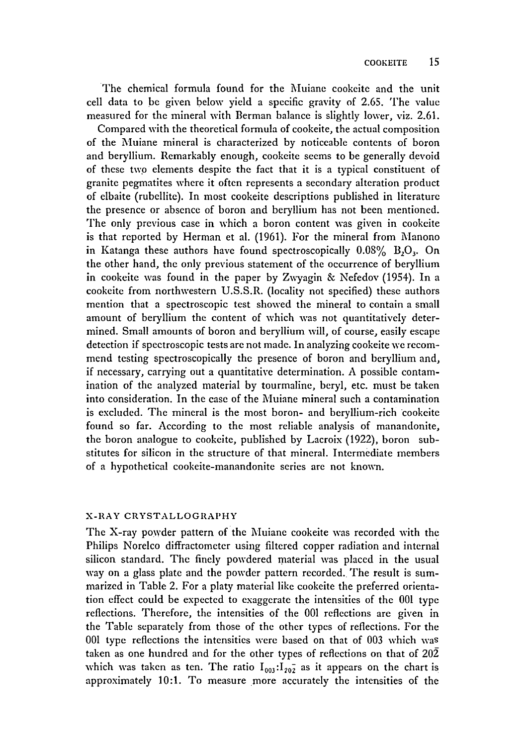The chemical formula found for the Muiane cookcite and the unit cell data to be given below yield a specific gravity of 2.65. The value measured for the mineral with Berman balance is slightly lower, viz. 2.61.

Compared with the theoretical formula of cookeite, the actual composition of the Muiane mineral is characterized by noticeable contents of boron and beryllium. Remarkably enough, cookeite seems to be generally devoid of these two elements despite the fact that it is a typical constituent of granite pegmatites where it often represents a secondary alteration product of elbaite (rubellite). In most cookeite descriptions published in literature the presence or absence of boron and beryllium has not been mentioned. The only previous case in which a boron content was given in cookeite is that reported by Herman et al. (1961). For the mineral from Manono in Katanga these authors have found spectroscopically  $0.08\%$  B<sub>2</sub>O<sub>3</sub>. On the other hand, the only previous statement of the occurrence of beryllium in cookeite was found in the paper by Zwyagin & Nefedov (1954). In a cookeite from northwestern U.S.S.R. (locality not specified) these authors mention that a spectroscopic test showed the mineral to contain a small amount of beryllium the content of which was not quantitatively determined. Small amounts of boron and beryllium will, of course, easily escape detection if spectroscopic tests are not made. In analyzing cookeite we recommend testing spectroscopically the presence of boron and beryllium and, if necessary, carrying out a quantitative determination. A possible contamination of the analyzed material by tourmaline, beryl, etc. must be taken into consideration. In the case of the Muiane mineral such a contamination is excluded. The mineral is the most boron- and beryllium-rich cookeite found so far. According to the most reliable analysis of manandonite, the boron analogue to cookeite, published by Lacroix (1922), boron substitutes for silicon in the structure of that mineral. Intermediate members of a hypothetical cookeite-manandonite series are not known.

# X-RAY CRYSTALLOGRAPHY

The X-ray powder pattern of the Muiane cookeite was recorded with the Philips Norelco diffractometer using filtered copper radiation and internal silicon standard. The finely powdered material was placed in the usual way on a glass plate and the powder pattern recorded. The result is summarized in Table 2. For a platy material like cookeite the preferred orientation effect could be expected to exaggerate the intensities of the 001 type reflections. Therefore, the intensities of the 001 reflections are given in the Table separately from those of the other types of reflections. For the 001 type reflections the intensities were based on that of 003 which was taken as one hundred and for the other types of reflections on that of 202 which was taken as ten. The ratio  $I_{003}:I_{202}$  as it appears on the chart is approximately 10:1. To measure more accurately the intensities of the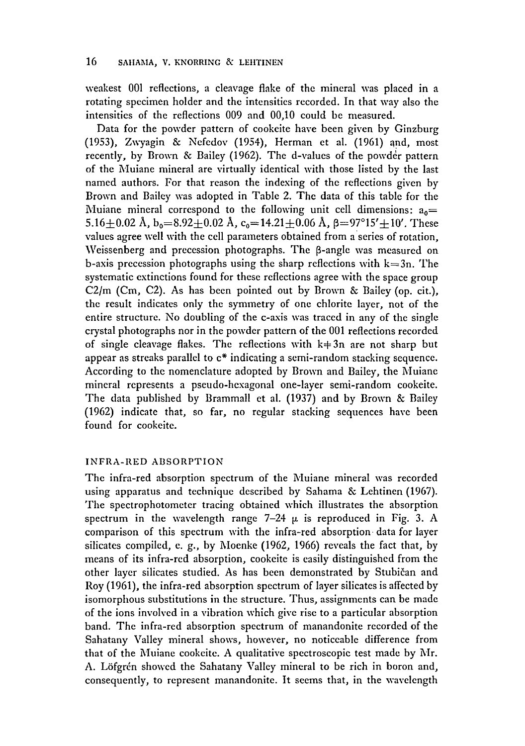weakest 001 reflections, a cleavage flake of the mineral was placed in a rotating specimen holder and the intensities recorded. In that way also the intensities of the reflections 009 and 00,10 could be measured.

Data for the powder pattern of cookeite have been given by Ginzburg (1953), Zwyagin & Nefedov (1954), Herman et al. (1961) and, most recently, by Brown & Bailey (1962). The d-values of the powder pattern of the Muiane mineral are virtually identical with those listed by the last named authors. For that reason the indexing of the reflections given by Brown and Bailey was adopted in Table 2. The data of this table for the Muiane mineral correspond to the following unit cell dimensions:  $a_0 =$ 5.16+0.02 Å,  $b_0=8.92+0.02$  Å,  $c_0=14.21+0.06$  Å,  $\beta=97^{\circ}15'+10'$ . These values agree well with the cell parameters obtained from a series of rotation, Weissenberg and precession photographs. The  $\beta$ -angle was measured on b-axis precession photographs using the sharp reflections with  $k=3n$ . The systematic extinctions found for these reflections agree with the space group C2/m (Cm, C2). As has been pointed out by Brown & Bailey (op. cit.), the result indicates only the symmetry of one chlorite layer, not of the entire structure. No doubling of the c-axis was traced in any of the single crystal photographs nor in the powder pattern of the 001 reflections recorded of single cleavage flakes. The reflections with  $k+3n$  are not sharp but appear as streaks parallel to c\* indicating a semi-random stacking sequence. According to the nomenclature adopted by Brown and Bailey, the Muiane mineral represents a pseudo-hexagonal one-layer semi-random cookeite. The data published by Brammall et al. (1937) and by Brown & Bailey (1962) indicate that, so far, no regular stacking sequences have been found for cookeite.

## INFRA-RED ABSORPTION

The infra-red absorption spectrum of the Muiane mineral was recorded using apparatus and technique described by Sahama & Lehtinen (1967). The spectrophotometer tracing obtained which illustrates the absorption spectrum in the wavelength range  $7-24$   $\mu$  is reproduced in Fig. 3. A comparison of this spectrum with the infra-red absorption data for layer silicates compiled, e. g., by Moenke (1962, 1966) reveals the fact that, by means of its infra-rcd absorption, cookcitc is casily distinguishcd from the other layer silicates studied. As has been demonstrated by Stubičan and Roy (1961), the infra-red absorption spectrum of layer silicates is affected by isomorphous substitutions in the structure. Thus, assignments can be made of the ions involved in a vibration which give rise to a particular absorption band. The infra-red absorption spectrum of manandonite recorded of the Sahatany Valley mineral shows, however, no noticeable difference from that of the Muiane cookeite. A qualitative spectroscopic test made by Mr. A. Löfgrén showed the Sahatany Valley mineral to be rich in boron and, consequently, to represent manandonite. It seems that, in the wavelength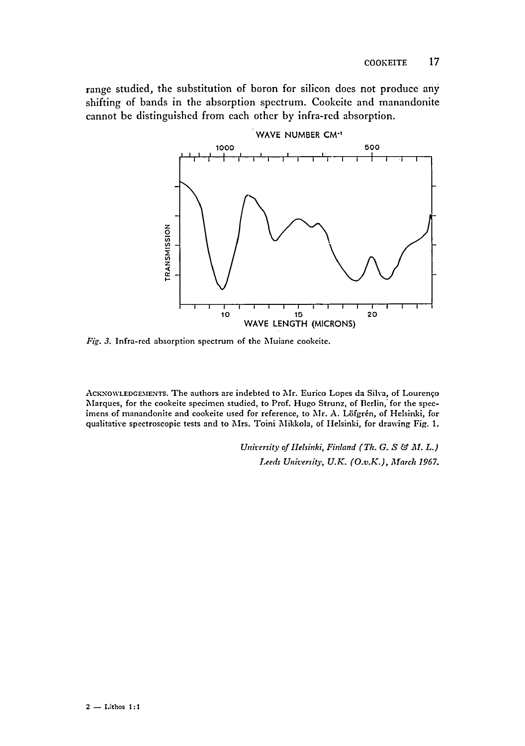range studied, the substitution of boron for silicon does not produce any shifting of bands in the absorption spectrum. Cookeite and manandonite cannot be distinguished from each other by infra-red absorption.



*Fig. 3.* Infra-red absorption spectrum of the Muiane cookelte.

ACKNOWLEDGEMENTS. The authors are indebted to Mr. Eurico Lopes da Silva, of Lourenqo Marques, for the cookeite specimen studied, to Prof. Hugo Strunz, of Berlin, for the specimens of manandonite and cookeite used for reference, to Mr. A. Löfgrén, of Helsinki, for qualitative spectroscopic tests and to Mrs. Toini Mikkola, of IIelsinki, for drawing Fig. 1.

> *University of Helsinki, Finland (Th. G. S & M. L.) Leeds University, U.E. (O.v.K.), 3larch 1967.*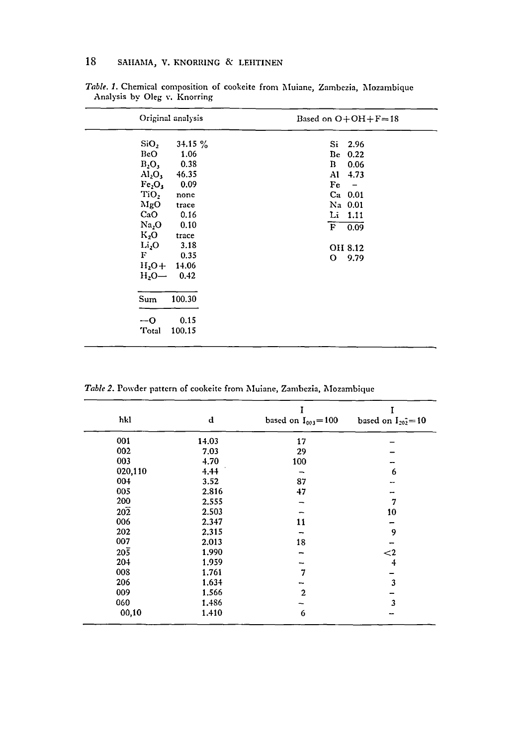| Original analysis                      | Based on $O+OH+F=18$           |
|----------------------------------------|--------------------------------|
| SiO,<br>34.15%                         | $S_1$ 2.96                     |
| 1.06<br>BeO                            | Be<br>0.22                     |
| $B_2O_3$<br>0.38                       | $\mathbf{B}$<br>0.06           |
| $\rm Al_2O_3$<br>46.35                 | Al<br>4.73                     |
| Fe <sub>2</sub> O <sub>3</sub><br>0.09 | Fe<br>$\overline{\phantom{a}}$ |
| TiO,<br>none                           | $Ca$ 0.01                      |
| MgO<br>trace                           | Na 0.01                        |
| CaO<br>0.16                            | Li 1.11                        |
| Na <sub>2</sub> O<br>0.10              | $\mathbf{F}$<br>0.09           |
| $K_2O$<br>trace                        |                                |
| Li <sub>2</sub> O<br>3.18              | OH 8.12                        |
| F<br>0.35                              | 9.79<br>O                      |
| $H_2O+14.06$                           |                                |
| $H_2O -$<br>0.42                       |                                |
| 100.30<br>Sum                          |                                |
| 0.15<br>$-0$                           |                                |
| Total<br>100.15                        |                                |

*Table. I.* Chemical composition of eookeite from Muiane, Zambezia, Mozambique Analysis by Oleg v. Knorring

Table 2. Powder pattern of cookeite from Muiane, Zambezia, Mozambique

| hkl              | d     | based on $I_{003} = 100$ | based on $I_{202} = 10$ |
|------------------|-------|--------------------------|-------------------------|
| 001              | 14.03 | 17                       |                         |
| 002              | 7.03  | 29                       |                         |
| 003              | 4.70  | 100                      |                         |
| 020,110          | 4.44  |                          | 6                       |
| 004              | 3.52  | 87                       |                         |
| 005              | 2.816 | 47                       |                         |
| 200              | 2.555 |                          | 7                       |
| $20\overline{2}$ | 2.503 |                          | 10                      |
| 006              | 2.347 | 11                       |                         |
| 202              | 2.315 |                          | 9                       |
| 007              | 2.013 | 18                       |                         |
| $20\overline{5}$ | 1.990 |                          | ${<}2$                  |
| 204              | 1.959 |                          | 4                       |
| 008              | 1.761 | 7                        |                         |
| 206              | 1.634 |                          | 3                       |
| 009              | 1.566 | $\mathbf{2}$             |                         |
| 060              | 1.486 |                          | 3                       |
| 00,10            | 1.410 | 6                        |                         |